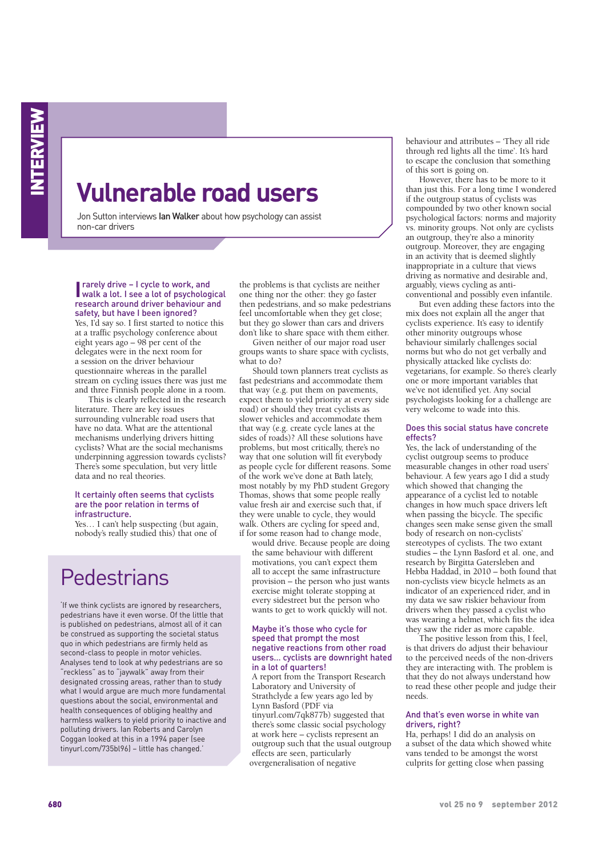# **Vulnerable road users**

Jon Sutton interviews lan Walker about how psychology can assist non-car drivers

**I** rarely drive – I cycle to work, and<br>
walk a lot. I see a lot of psycholog walk a lot. I see a lot of psychological research around driver behaviour and safety, but have I been ignored? Yes, I'd say so. I first started to notice this at a traffic psychology conference about eight years ago – 98 per cent of the delegates were in the next room for a session on the driver behaviour questionnaire whereas in the parallel

and three Finnish people alone in a room. This is clearly reflected in the research literature. There are key issues surrounding vulnerable road users that have no data. What are the attentional mechanisms underlying drivers hitting cyclists? What are the social mechanisms underpinning aggression towards cyclists? There's some speculation, but very little data and no real theories.

stream on cycling issues there was just me

#### It certainly often seems that cyclists are the poor relation in terms of infrastructure.

Yes… I can't help suspecting (but again, nobody's really studied this) that one of

# **Pedestrians**

'If we think cyclists are ignored by researchers, pedestrians have it even worse. Of the little that is published on pedestrians, almost all of it can be construed as supporting the societal status quo in which pedestrians are firmly held as second-class to people in motor vehicles. Analyses tend to look at why pedestrians are so "reckless" as to "jaywalk" away from their designated crossing areas, rather than to study what I would argue are much more fundamental questions about the social, environmental and health consequences of obliging healthy and harmless walkers to yield priority to inactive and polluting drivers. Ian Roberts and Carolyn Coggan looked at this in a 1994 paper (see tinyurl.com/735bl96) – little has changed.'

the problems is that cyclists are neither one thing nor the other: they go faster then pedestrians, and so make pedestrians feel uncomfortable when they get close; but they go slower than cars and drivers don't like to share space with them either.

Given neither of our major road user groups wants to share space with cyclists, what to do?

Should town planners treat cyclists as fast pedestrians and accommodate them that way (e.g. put them on pavements, expect them to yield priority at every side road) or should they treat cyclists as slower vehicles and accommodate them that way (e.g. create cycle lanes at the sides of roads)? All these solutions have problems, but most critically, there's no way that one solution will fit everybody as people cycle for different reasons. Some of the work we've done at Bath lately, most notably by my PhD student Gregory Thomas, shows that some people really value fresh air and exercise such that, if they were unable to cycle, they would walk. Others are cycling for speed and, if for some reason had to change mode,

would drive. Because people are doing the same behaviour with different motivations, you can't expect them all to accept the same infrastructure provision – the person who just wants exercise might tolerate stopping at every sidestreet but the person who wants to get to work quickly will not.

#### Maybe it's those who cycle for speed that prompt the most negative reactions from other road users… cyclists are downright hated in a lot of quarters!

A report from the Transport Research Laboratory and University of Strathclyde a few years ago led by Lynn Basford (PDF via tinyurl.com/7qk877b) suggested that there's some classic social psychology at work here – cyclists represent an outgroup such that the usual outgroup effects are seen, particularly overgeneralisation of negative

behaviour and attributes – 'They all ride through red lights all the time'. It's hard to escape the conclusion that something of this sort is going on.

However, there has to be more to it than just this. For a long time I wondered if the outgroup status of cyclists was compounded by two other known social psychological factors: norms and majority vs. minority groups. Not only are cyclists an outgroup, they're also a minority outgroup. Moreover, they are engaging in an activity that is deemed slightly inappropriate in a culture that views driving as normative and desirable and, arguably, views cycling as anticonventional and possibly even infantile.

But even adding these factors into the mix does not explain all the anger that cyclists experience. It's easy to identify other minority outgroups whose behaviour similarly challenges social norms but who do not get verbally and physically attacked like cyclists do: vegetarians, for example. So there's clearly one or more important variables that we've not identified yet. Any social psychologists looking for a challenge are very welcome to wade into this.

### Does this social status have concrete effects?

Yes, the lack of understanding of the cyclist outgroup seems to produce measurable changes in other road users' behaviour. A few years ago I did a study which showed that changing the appearance of a cyclist led to notable changes in how much space drivers left when passing the bicycle. The specific changes seen make sense given the small body of research on non-cyclists' stereotypes of cyclists. The two extant studies – the Lynn Basford et al. one, and research by Birgitta Gatersleben and Hebba Haddad, in 2010 – both found that non-cyclists view bicycle helmets as an indicator of an experienced rider, and in my data we saw riskier behaviour from drivers when they passed a cyclist who was wearing a helmet, which fits the idea they saw the rider as more capable.

The positive lesson from this, I feel, is that drivers do adjust their behaviour to the perceived needs of the non-drivers they are interacting with. The problem is that they do not always understand how to read these other people and judge their needs.

## And that's even worse in white van drivers, right?

Ha, perhaps! I did do an analysis on a subset of the data which showed white vans tended to be amongst the worst culprits for getting close when passing